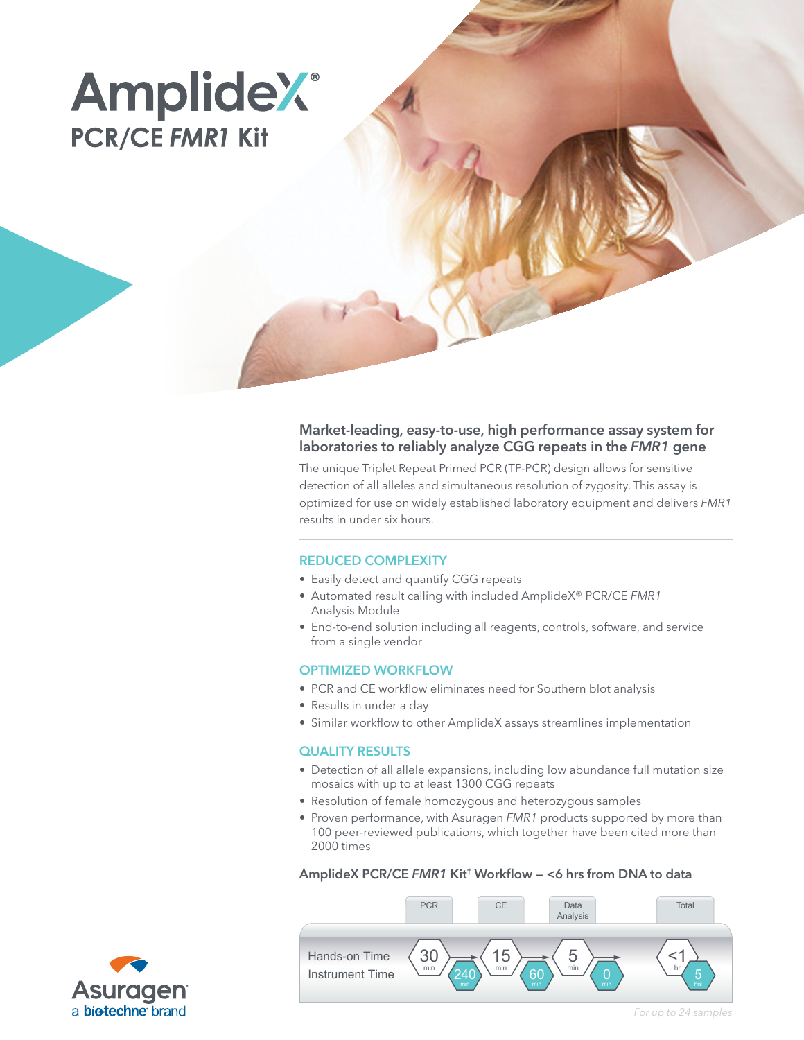# **AmplideX**® **PCR/CE FMR1 Kit**

# Market-leading, easy-to-use, high performance assay system for laboratories to reliably analyze CGG repeats in the *FMR1* gene

The unique Triplet Repeat Primed PCR (TP-PCR) design allows for sensitive detection of all alleles and simultaneous resolution of zygosity. This assay is optimized for use on widely established laboratory equipment and delivers *FMR1* results in under six hours.

# REDUCED COMPLEXITY

- Easily detect and quantify CGG repeats
- Automated result calling with included AmplideX® PCR/CE *FMR1* Analysis Module
- End-to-end solution including all reagents, controls, software, and service from a single vendor

#### OPTIMIZED WORKFLOW

- PCR and CE workflow eliminates need for Southern blot analysis
- Results in under a day
- Similar workflow to other AmplideX assays streamlines implementation

#### QUALITY RESULTS

- Detection of all allele expansions, including low abundance full mutation size mosaics with up to at least 1300 CGG repeats
- Resolution of female homozygous and heterozygous samples
- Proven performance, with Asuragen *FMR1* products supported by more than 100 peer-reviewed publications, which together have been cited more than 2000 times

#### AmplideX PCR/CE *FMR1* Kit† Workflow — <6 hrs from DNA to data